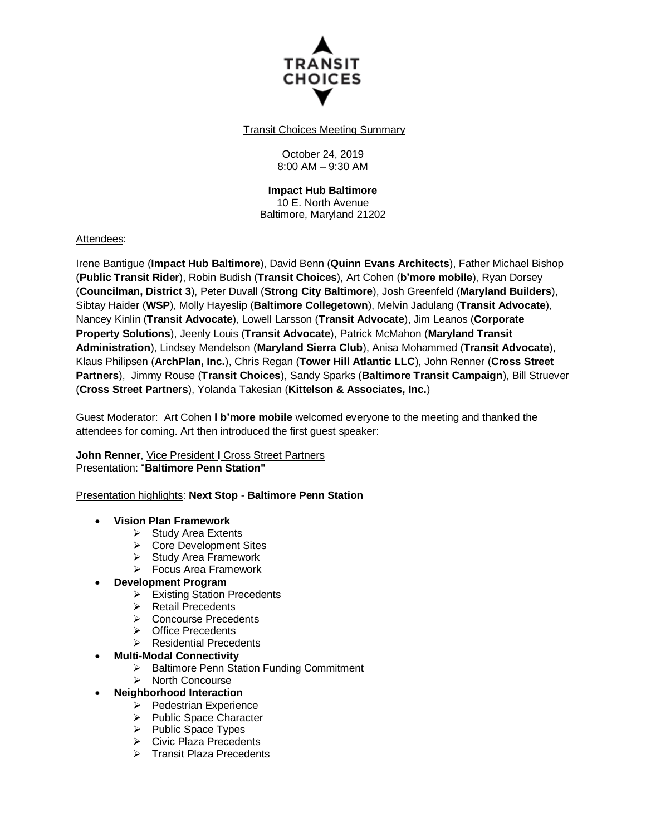

Transit Choices Meeting Summary

October 24, 2019 8:00 AM – 9:30 AM

# **Impact Hub Baltimore**

10 E. North Avenue Baltimore, Maryland 21202

#### Attendees:

Irene Bantigue (**Impact Hub Baltimore**), David Benn (**Quinn Evans Architects**), Father Michael Bishop (**Public Transit Rider**), Robin Budish (**Transit Choices**), Art Cohen (**b'more mobile**), Ryan Dorsey (**Councilman, District 3**), Peter Duvall (**Strong City Baltimore**), Josh Greenfeld (**Maryland Builders**), Sibtay Haider (**WSP**), Molly Hayeslip (**Baltimore Collegetown**), Melvin Jadulang (**Transit Advocate**), Nancey Kinlin (**Transit Advocate**), Lowell Larsson (**Transit Advocate**), Jim Leanos (**Corporate Property Solutions**), Jeenly Louis (**Transit Advocate**), Patrick McMahon (**Maryland Transit Administration**), Lindsey Mendelson (**Maryland Sierra Club**), Anisa Mohammed (**Transit Advocate**), Klaus Philipsen (**ArchPlan, Inc.**), Chris Regan (**Tower Hill Atlantic LLC**), John Renner (**Cross Street Partners**), Jimmy Rouse (**Transit Choices**), Sandy Sparks (**Baltimore Transit Campaign**), Bill Struever (**Cross Street Partners**), Yolanda Takesian (**Kittelson & Associates, Inc.**)

Guest Moderator: Art Cohen **l b'more mobile** welcomed everyone to the meeting and thanked the attendees for coming. Art then introduced the first guest speaker:

**John Renner**, Vice President **l** Cross Street Partners Presentation: "**Baltimore Penn Station"**

Presentation highlights: **Next Stop** - **Baltimore Penn Station**

#### **Vision Plan Framework**

- $\triangleright$  Study Area Extents
- $\triangleright$  Core Development Sites
- $\triangleright$  Study Area Framework
- Focus Area Framework
- **Development Program**
	- $\triangleright$  Existing Station Precedents<br>  $\triangleright$  Retail Precedents
	- Retail Precedents
	- Concourse Precedents
	- **▶ Office Precedents**
	- > Residential Precedents
	- **Multi-Modal Connectivity**
		- > Baltimore Penn Station Funding Commitment
		- > North Concourse
	- **Neighborhood Interaction**
		- $\triangleright$  Pedestrian Experience
		- $\triangleright$  Public Space Character
		- $\triangleright$  Public Space Types
		- Civic Plaza Precedents
		- $\triangleright$  Transit Plaza Precedents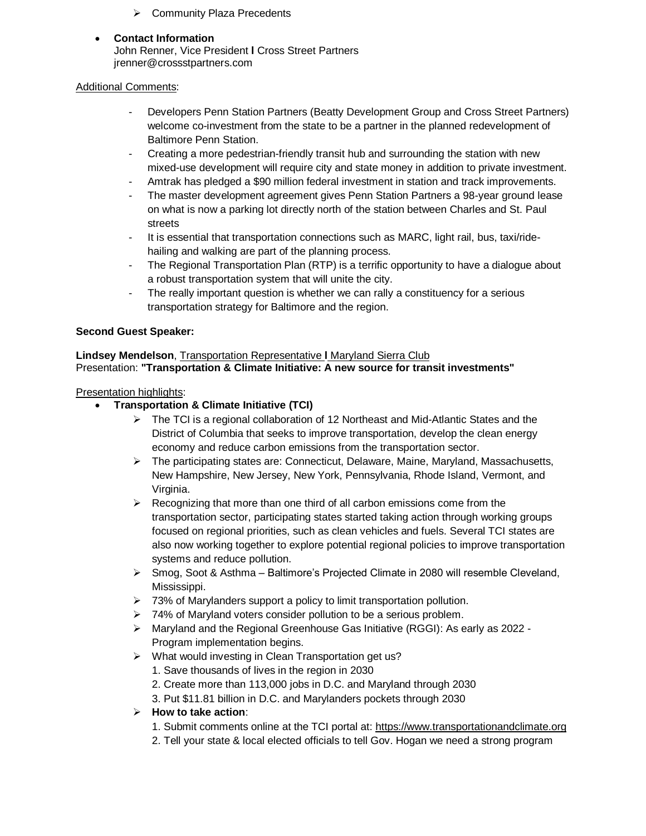**▶ Community Plaza Precedents** 

# **Contact Information**

John Renner, Vice President **l** Cross Street Partners jrenner@crossstpartners.com

### Additional Comments:

- Developers Penn Station Partners (Beatty Development Group and Cross Street Partners) welcome co-investment from the state to be a partner in the planned redevelopment of Baltimore Penn Station.
- Creating a more pedestrian-friendly transit hub and surrounding the station with new mixed-use development will require city and state money in addition to private investment.
- Amtrak has pledged a \$90 million federal investment in station and track improvements.
- The master development agreement gives Penn Station Partners a 98-year ground lease on what is now a parking lot directly north of the station between Charles and St. Paul streets
- It is essential that transportation connections such as MARC, light rail, bus, taxi/ridehailing and walking are part of the planning process.
- The Regional Transportation Plan (RTP) is a terrific opportunity to have a dialogue about a robust transportation system that will unite the city.
- The really important question is whether we can rally a constituency for a serious transportation strategy for Baltimore and the region.

## **Second Guest Speaker:**

**Lindsey Mendelson**, Transportation Representative **l** Maryland Sierra Club Presentation: **"Transportation & Climate Initiative: A new source for transit investments"**

#### Presentation highlights:

- **Transportation & Climate Initiative (TCI)**
	- $\triangleright$  The TCI is a regional collaboration of 12 Northeast and Mid-Atlantic States and the District of Columbia that seeks to improve transportation, develop the clean energy economy and reduce carbon emissions from the transportation sector.
	- $\triangleright$  The participating states are: Connecticut, Delaware, Maine, Maryland, Massachusetts, New Hampshire, New Jersey, New York, Pennsylvania, Rhode Island, Vermont, and Virginia.
	- $\triangleright$  Recognizing that more than one third of all carbon emissions come from the transportation sector, participating states started taking action through working groups focused on regional priorities, such as clean vehicles and fuels. Several TCI states are also now working together to explore potential regional policies to improve transportation systems and reduce pollution.
	- Smog, Soot & Asthma Baltimore's Projected Climate in 2080 will resemble Cleveland, Mississippi.
	- $\geq$  73% of Marylanders support a policy to limit transportation pollution.
	- $\geq$  74% of Maryland voters consider pollution to be a serious problem.
	- $\triangleright$  Maryland and the Regional Greenhouse Gas Initiative (RGGI): As early as 2022 -Program implementation begins.
	- What would investing in Clean Transportation get us?
		- 1. Save thousands of lives in the region in 2030
		- 2. Create more than 113,000 jobs in D.C. and Maryland through 2030
		- 3. Put \$11.81 billion in D.C. and Marylanders pockets through 2030

#### **How to take action**:

- 1. Submit comments online at the TCI portal at: [https://www.transportationandclimate.org](https://www.transportationandclimate.org/)
- 2. Tell your state & local elected officials to tell Gov. Hogan we need a strong program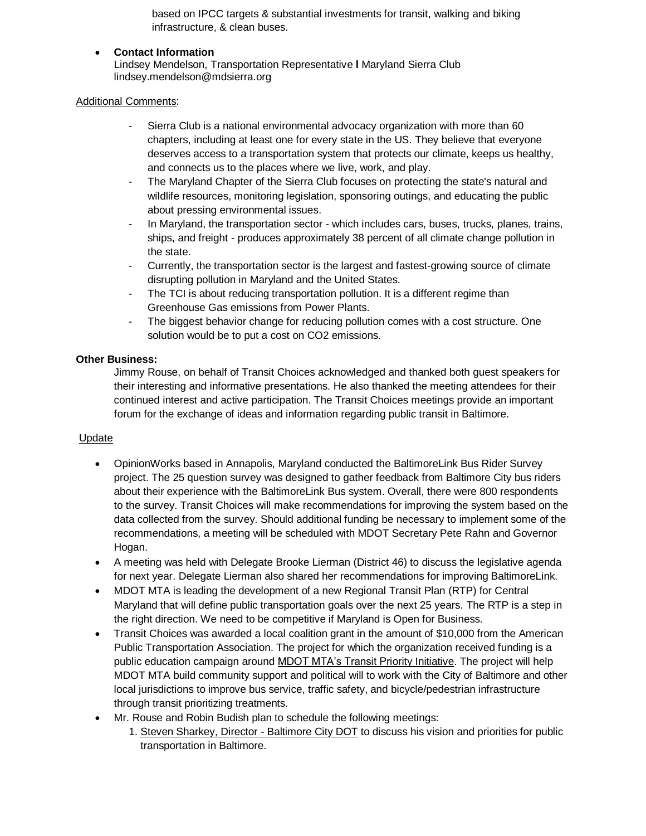based on IPCC targets & substantial investments for transit, walking and biking infrastructure, & clean buses.

### **Contact Information**

Lindsey Mendelson, Transportation Representative **l** Maryland Sierra Club lindsey.mendelson@mdsierra.org

#### Additional Comments:

- Sierra Club is a national environmental advocacy organization with more than 60 chapters, including at least one for every state in the US. They believe that everyone deserves access to a transportation system that protects our climate, keeps us healthy, and connects us to the places where we live, work, and play.
- The Maryland Chapter of the Sierra Club focuses on protecting the state's natural and wildlife resources, monitoring legislation, sponsoring outings, and educating the public about pressing environmental issues.
- In Maryland, the transportation sector which includes cars, buses, trucks, planes, trains, ships, and freight - produces approximately 38 percent of all climate change pollution in the state.
- Currently, the transportation sector is the largest and fastest-growing source of climate disrupting pollution in Maryland and the United States.
- The TCI is about reducing transportation pollution. It is a different regime than Greenhouse Gas emissions from Power Plants.
- The biggest behavior change for reducing pollution comes with a cost structure. One solution would be to put a cost on CO2 emissions.

#### **Other Business:**

Jimmy Rouse, on behalf of Transit Choices acknowledged and thanked both guest speakers for their interesting and informative presentations. He also thanked the meeting attendees for their continued interest and active participation. The Transit Choices meetings provide an important forum for the exchange of ideas and information regarding public transit in Baltimore.

#### **Update**

- OpinionWorks based in Annapolis, Maryland conducted the BaltimoreLink Bus Rider Survey project. The 25 question survey was designed to gather feedback from Baltimore City bus riders about their experience with the BaltimoreLink Bus system. Overall, there were 800 respondents to the survey. Transit Choices will make recommendations for improving the system based on the data collected from the survey. Should additional funding be necessary to implement some of the recommendations, a meeting will be scheduled with MDOT Secretary Pete Rahn and Governor Hogan.
- A meeting was held with Delegate Brooke Lierman (District 46) to discuss the legislative agenda for next year. Delegate Lierman also shared her recommendations for improving BaltimoreLink.
- MDOT MTA is leading the development of a new Regional Transit Plan (RTP) for Central Maryland that will define public transportation goals over the next 25 years. The RTP is a step in the right direction. We need to be competitive if Maryland is Open for Business.
- Transit Choices was awarded a local coalition grant in the amount of \$10,000 from the American Public Transportation Association. The project for which the organization received funding is a public education campaign around [MDOT MTA's Transit Priority Initiative.](https://www.mta.maryland.gov/transit-priority-initiative) The project will help MDOT MTA build community support and political will to work with the City of Baltimore and other local jurisdictions to improve bus service, traffic safety, and bicycle/pedestrian infrastructure through transit prioritizing treatments.
- Mr. Rouse and Robin Budish plan to schedule the following meetings:
	- 1. Steven Sharkey, Director Baltimore City DOT to discuss his vision and priorities for public transportation in Baltimore.